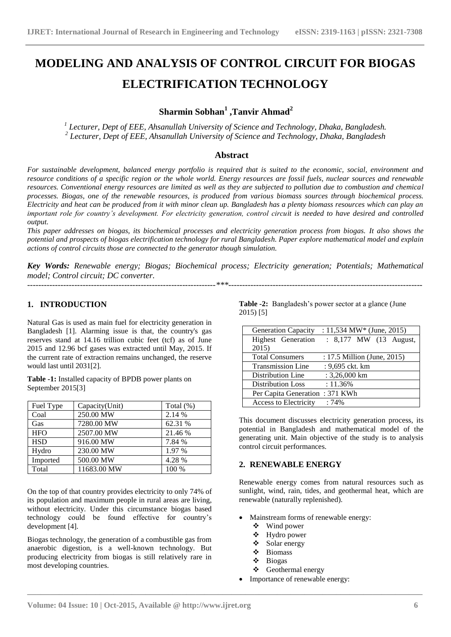# **MODELING AND ANALYSIS OF CONTROL CIRCUIT FOR BIOGAS ELECTRIFICATION TECHNOLOGY**

# **Sharmin Sobhan<sup>1</sup> ,Tanvir Ahmad<sup>2</sup>**

*1 Lecturer, Dept of EEE, Ahsanullah University of Science and Technology, Dhaka, Bangladesh. 2 Lecturer, Dept of EEE, Ahsanullah University of Science and Technology, Dhaka, Bangladesh*

# **Abstract**

*For sustainable development, balanced energy portfolio is required that is suited to the economic, social, environment and resource conditions of a specific region or the whole world. Energy resources are fossil fuels, nuclear sources and renewable resources. Conventional energy resources are limited as well as they are subjected to pollution due to combustion and chemical processes. Biogas, one of the renewable resources, is produced from various biomass sources through biochemical process. Electricity and heat can be produced from it with minor clean up. Bangladesh has a plenty biomass resources which can play an important role for country's development. For electricity generation, control circuit is needed to have desired and controlled output.*

*This paper addresses on biogas, its biochemical processes and electricity generation process from biogas. It also shows the potential and prospects of biogas electrification technology for rural Bangladesh. Paper explore mathematical model and explain actions of control circuits those are connected to the generator though simulation.*

*Key Words: Renewable energy; Biogas; Biochemical process; Electricity generation; Potentials; Mathematical model; Control circuit; DC converter. --------------------------------------------------------------------\*\*\*----------------------------------------------------------------------*

# **1. INTRODUCTION**

Natural Gas is used as main fuel for electricity generation in Bangladesh [1]. Alarming issue is that, the country's gas reserves stand at 14.16 trillion cubic feet (tcf) as of June 2015 and 12.96 bcf gases was extracted until May, 2015. If the current rate of extraction remains unchanged, the reserve would last until 2031[2].

**Table -1:** Installed capacity of BPDB power plants on September 2015[3]

| Fuel Type  | Capacity(Unit) | Total (%) |
|------------|----------------|-----------|
| Coal       | 250.00 MW      | 2.14 %    |
| Gas        | 7280.00 MW     | 62.31 %   |
| <b>HFO</b> | 2507.00 MW     | 21.46 %   |
| <b>HSD</b> | 916.00 MW      | 7.84 %    |
| Hydro      | 230.00 MW      | 1.97 %    |
| Imported   | 500.00 MW      | 4.28 %    |
| Total      | 11683.00 MW    | 100 %     |

On the top of that country provides electricity to only 74% of its population and maximum people in rural areas are living, without electricity. Under this circumstance biogas based technology could be found effective for country's development [4].

Biogas technology, the generation of a combustible gas from anaerobic digestion, is a well-known technology. But producing electricity from biogas is still relatively rare in most developing countries.

**Table -2:** Bangladesh's power sector at a glance (June 2015) [5]

| <b>Generation Capacity</b>     | : 11,534 MW* (June, 2015)   |  |  |  |
|--------------------------------|-----------------------------|--|--|--|
| Highest Generation             | : 8,177 MW (13 August,      |  |  |  |
| 2015)                          |                             |  |  |  |
| <b>Total Consumers</b>         | : 17.5 Million (June, 2015) |  |  |  |
| <b>Transmission Line</b>       | : 9,695 ckt. km             |  |  |  |
| Distribution Line              | $: 3,26,000$ km             |  |  |  |
| <b>Distribution Loss</b>       | $: 11.36\%$                 |  |  |  |
| Per Capita Generation: 371 KWh |                             |  |  |  |
| Access to Electricity          | :74%                        |  |  |  |

This document discusses electricity generation process, its potential in Bangladesh and mathematical model of the generating unit. Main objective of the study is to analysis control circuit performances.

#### **2. RENEWABLE ENERGY**

Renewable energy comes from [natural resources](http://en.wikipedia.org/wiki/Natural_resource) such as [sunlight,](http://en.wikipedia.org/wiki/Sunlight) [wind,](http://en.wikipedia.org/wiki/Wind) [rain,](http://en.wikipedia.org/wiki/Rain) [tides,](http://en.wikipedia.org/wiki/Tidal_energy) and [geothermal heat,](http://en.wikipedia.org/wiki/Geothermal_energy) which are [renewable](http://en.wikipedia.org/wiki/Renewable_resource) (naturally replenished).

- Mainstream forms of renewable energy:
	- Wind power
	- Hydro power
	- Solar energy
	- Biomass
	- Biogas

- Geothermal energy
- Importance of renewable energy: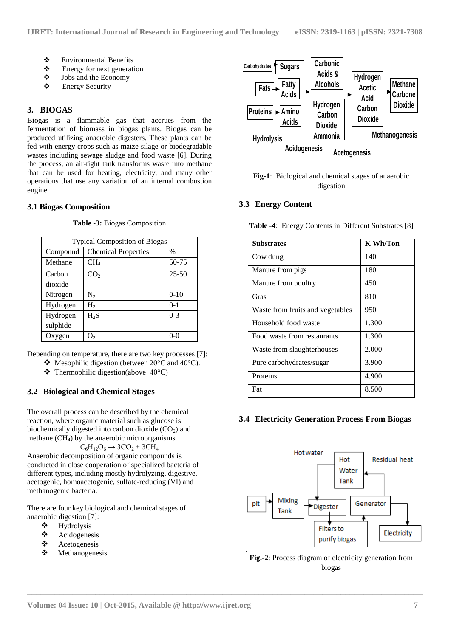- $\bullet$  Environmental Benefits<br>
Energy for next generat
- $\triangle$  Energy for next generation<br>  $\triangle$  Iobs and the Economy
- $\bullet$  Jobs and the Economy<br>  $\bullet$  Energy Security
- Energy Security

#### **3. BIOGAS**

Biogas is a flammable gas that accrues from the fermentation of biomass in biogas plants. Biogas can be produced utilizing anaerobic digesters. These plants can be fed with energy crops such as maize silage or [biodegradable](http://en.wikipedia.org/wiki/Biodegradable_waste)  [wastes](http://en.wikipedia.org/wiki/Biodegradable_waste) including sewage sludge and food waste [6]. During the process, an air-tight tank transforms waste into methane that can be used for heating, electricity, and many other operations that use any variation of an internal combustion engine.

#### **3.1 Biogas Composition**

| <b>Typical Composition of Biogas</b> |                            |           |  |  |  |
|--------------------------------------|----------------------------|-----------|--|--|--|
| Compound                             | <b>Chemical Properties</b> | $\%$      |  |  |  |
| Methane                              | $CH_4$                     | 50-75     |  |  |  |
| Carbon                               | CO <sub>2</sub>            | $25 - 50$ |  |  |  |
| dioxide                              |                            |           |  |  |  |
| Nitrogen                             | $N_{2}$                    | $0-10$    |  |  |  |
| Hydrogen                             | H <sub>2</sub>             | $0-1$     |  |  |  |
| Hydrogen                             | $H_2S$                     | $0 - 3$   |  |  |  |
| sulphide                             |                            |           |  |  |  |
| Oxygen                               | J٠                         | $0 - C$   |  |  |  |

**Table -3:** Biogas Composition

Depending on temperature, there are two key processes [7]:

- $\bullet$  [Mesophilic](http://en.wikipedia.org/wiki/Mesophilic) digestion (between 20 $\degree$ C and 40 $\degree$ C).
- $\div$  Thermophilic digestion(above 40°C)

#### **3.2 Biological and Chemical Stages**

The overall process can be described by the chemical reaction, where organic material such as glucose is biochemically digested into carbon dioxide  $(CO<sub>2</sub>)$  and methane  $(CH<sub>4</sub>)$  by the anaerobic microorganisms.

$$
C_6H_{12}O_6 \rightarrow 3CO_2 + 3CH_4
$$

Anaerobic decomposition of organic compounds is conducted in close cooperation of specialized bacteria of different types, including mostly hydrolyzing, digestive, acetogenic, homoacetogenic, sulfate-reducing (VI) and methanogenic bacteria.

There are four key biological and chemical stages of anaerobic digestion [7]:

- [Hydrolysis](http://en.wikipedia.org/wiki/Hydrolysis)
- Acidogenesis
- ❖ [Acetogenesis](http://en.wikipedia.org/wiki/Acetogenesis)<br>❖ Methanogene
- [Methanogenesis](http://en.wikipedia.org/wiki/Methanogenesis)





#### **3.3 Energy Content**

**Table -4**: Energy Contents in Different Substrates [8]

| <b>Substrates</b>                | K Wh/Ton |  |
|----------------------------------|----------|--|
| Cow dung                         | 140      |  |
| Manure from pigs                 | 180      |  |
| Manure from poultry              | 450      |  |
| Gras                             | 810      |  |
| Waste from fruits and vegetables | 950      |  |
| Household food waste             | 1.300    |  |
| Food waste from restaurants      | 1.300    |  |
| Waste from slaughterhouses       | 2.000    |  |
| Pure carbohydrates/sugar         | 3.900    |  |
| Proteins                         | 4.900    |  |
| Fat                              | 8.500    |  |

#### **3.4 Electricity Generation Process From Biogas**



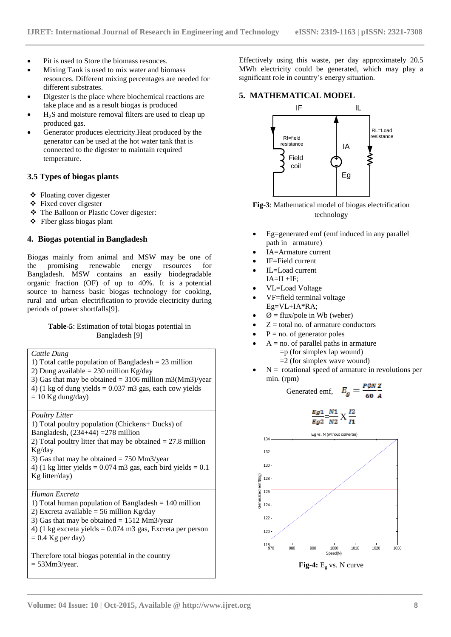- Pit is used to Store the biomass resouces.
- Mixing Tank is used to mix water and biomass resources. Different mixing percentages are needed for different substrates.
- Digester is the place where biochemical reactions are take place and as a result biogas is produced
- H2S and moisture removal filters are used to cleap up produced gas.
- Generator produces electricity.Heat produced by the generator can be used at the hot water tank that is connected to the digester to maintain required temperature.

#### **3.5 Types of biogas plants**

- Floating cover digester
- Fixed cover digester
- The Balloon or Plastic Cover digester:
- $\triangle$  Fiber glass biogas plant

# **4. Biogas potential in Bangladesh**

Biogas mainly from animal and MSW may be one of the promising renewable energy resources for Bangladesh. MSW contains an easily biodegradable organic fraction (OF) of up to 40%. It is a potential source to harness basic biogas technology for cooking, rural and urban electrification to provide electricity during periods of power shortfalls[9].

#### **Table-5**: Estimation of total biogas potential in Bangladesh [9]

*Cattle Dung*  1) Total cattle population of Bangladesh = 23 million 2) Dung available = 230 million Kg/day

- 3) Gas that may be obtained =  $3106$  million m3(Mm3)/year
- 4) (1 kg of dung yields  $= 0.037$  m3 gas, each cow yields
- $= 10$  Kg dung/day)

*Poultry Litter* 

- 1) Total poultry population (Chickens+ Ducks) of
- Bangladesh,  $(234+44) = 278$  million

2) Total poultry litter that may be obtained  $= 27.8$  million Kg/day

3) Gas that may be obtained  $= 750$  Mm3/year

4) (1 kg litter yields  $= 0.074$  m3 gas, each bird yields  $= 0.1$ Kg litter/day)

#### *Human Excreta*

1) Total human population of Bangladesh = 140 million 2) Excreta available = 56 million Kg/day 3) Gas that may be obtained  $= 1512$  Mm3/year 4) (1 kg excreta yields = 0.074 m3 gas, Excreta per person  $= 0.4$  Kg per day)

Therefore total biogas potential in the country  $= 53$ Mm $3$ /year.

Effectively using this waste, per day approximately 20.5 MWh electricity could be generated, which may play a significant role in country's energy situation.

# **5. MATHEMATICAL MODEL**



**Fig-3**: Mathematical model of biogas electrification technology

- Eg=generated emf [\(emf induced](http://www.electricaleasy.com/2014/02/faradays-law-and-lenzs-law-of.html) in any parallel path in armature)
- IA=Armature current
- IF=Field current
- IL=Load current  $IA=II+IF$
- VL=Load Voltage
- VF=field terminal voltage Eg=VL+IA\*RA;
- $\emptyset$  = flux/pole in Wb (weber)
- $Z =$  total no. of [armature conductors](http://www.electricaleasy.com/2012/12/armature-winding-of-dc-machine.html)
- $P = no$ . of [generator](http://www.electricaleasy.com/2012/12/basic-construction-and-working-of-dc.html) poles
- $A = no$ . of parallel paths in armature =p (for simplex lap wound)  $=$  2 (for simplex wave wound)
- $N =$  rotational speed of armature in revolutions per min. (rpm)

$$
\text{generated emf}, \quad E_g = \frac{P \phi N Z}{60 A}
$$



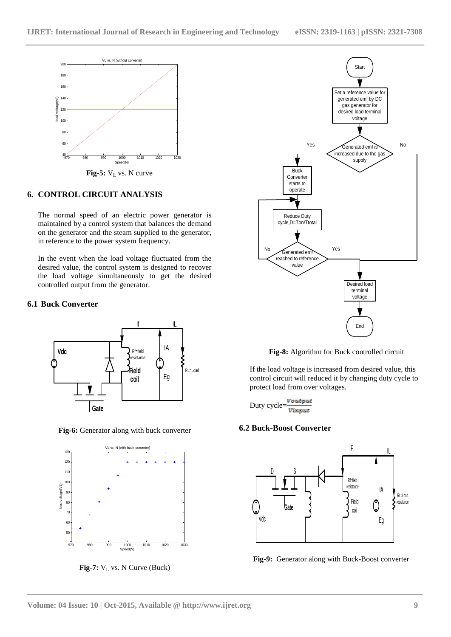

Fig-5:  $V<sub>L</sub>$  vs. N curve

# **6. CONTROL CIRCUIT ANALYSIS**

The normal speed of an electric power generator is maintained by a control system that balances the demand on the generator and the steam supplied to the generator, in reference to the power system frequency.

In the event when the load voltage fluctuated from the desired value, the control system is designed to recover the load voltage simultaneously to get the desired controlled output from the generator.

#### **6.1 Buck Converter**



**Fig-6:** Generator along with buck converter



**Fig-7:**  $V_L$  vs. N Curve (Buck)



**Fig-8:** Algorithm for Buck controlled circuit

If the load voltage is increased from desired value, this control circuit will reduced it by changing duty cycle to protect load from over voltages.

Duty cycle= $\frac{Voutput}{V}$ Vinput

#### **6.2 Buck-Boost Converter**



**Fig-9:** Generator along with Buck-Boost converter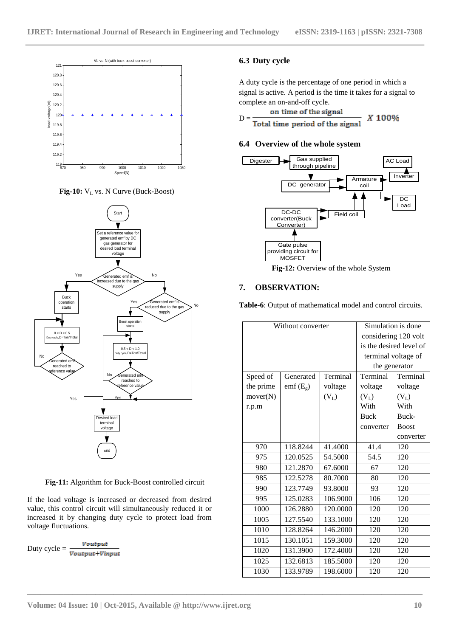

Fig-10: V<sub>L</sub> vs. N Curve (Buck-Boost)



**Fig-11:** Algorithm for Buck-Boost controlled circuit

If the load voltage is increased or decreased from desired value, this control circuit will simultaneously reduced it or increased it by changing duty cycle to protect load from voltage fluctuations.

Duty cycle =  $\frac{Voutput}{Voutput+Vinput}$ 

# **6.3 Duty cycle**

A duty cycle is the percentage of one [period](https://en.wikipedia.org/wiki/Frequency) in which a signal is active. A period is the time it takes for a signal to complete an on-and-off [cycle.](https://en.wikipedia.org/wiki/Turn_(geometry))

on time of the signal

X 100%  $D = \frac{D}{Total time period of the signal}$ 

#### **6.4 Overview of the whole system**



**Fig-12:** Overview of the whole System

# **7. OBSERVATION:**

**Table-6**: Output of mathematical model and control circuits.

| Without converter |            |          | Simulation is done      |              |
|-------------------|------------|----------|-------------------------|--------------|
|                   |            |          | considering 120 volt    |              |
|                   |            |          | is the desired level of |              |
|                   |            |          | terminal voltage of     |              |
|                   |            |          | the generator           |              |
| Speed of          | Generated  | Terminal | Terminal                | Terminal     |
| the prime         | $emf(E_g)$ | voltage  | voltage                 | voltage      |
| mover(N)          |            | $(V_L)$  | $(V_L)$                 | $(V_L)$      |
| r.p.m             |            |          | With                    | With         |
|                   |            |          | <b>Buck</b>             | Buck-        |
|                   |            |          | converter               | <b>Boost</b> |
|                   |            |          |                         | converter    |
| 970               | 118.8244   | 41.4000  | 41.4                    | 120          |
| 975               | 120.0525   | 54.5000  | 54.5                    | 120          |
| 980               | 121.2870   | 67.6000  | 67                      | 120          |
| 985               | 122.5278   | 80.7000  | 80                      | 120          |
| 990               | 123.7749   | 93.8000  | 93                      | 120          |
| 995               | 125.0283   | 106.9000 | 106                     | 120          |
| 1000              | 126.2880   | 120.0000 | 120                     | 120          |
| 1005              | 127.5540   | 133.1000 | 120                     | 120          |
| 1010              | 128.8264   | 146.2000 | 120                     | 120          |
| 1015              | 130.1051   | 159.3000 | 120                     | 120          |
| 1020              | 131.3900   | 172.4000 | 120                     | 120          |
| 1025              | 132.6813   | 185.5000 | 120                     | 120          |
| 1030              | 133.9789   | 198.6000 | 120                     | 120          |